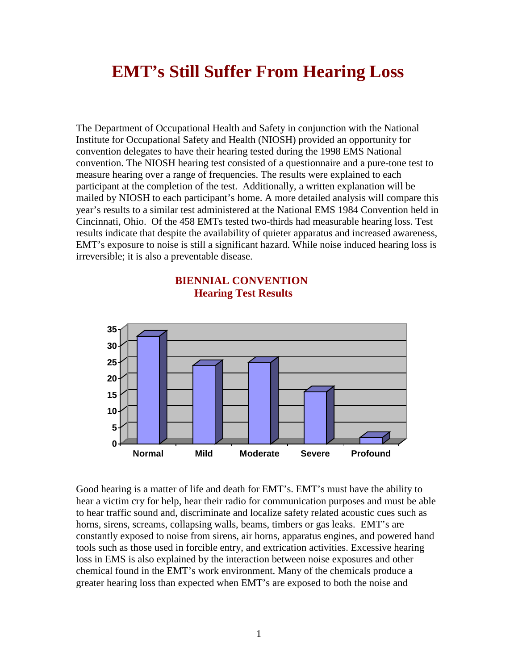## **EMT's Still Suffer From Hearing Loss**

The Department of Occupational Health and Safety in conjunction with the National Institute for Occupational Safety and Health (NIOSH) provided an opportunity for convention delegates to have their hearing tested during the 1998 EMS National convention. The NIOSH hearing test consisted of a questionnaire and a pure-tone test to measure hearing over a range of frequencies. The results were explained to each participant at the completion of the test. Additionally, a written explanation will be mailed by NIOSH to each participant's home. A more detailed analysis will compare this year's results to a similar test administered at the National EMS 1984 Convention held in Cincinnati, Ohio. Of the 458 EMTs tested two-thirds had measurable hearing loss. Test results indicate that despite the availability of quieter apparatus and increased awareness, EMT's exposure to noise is still a significant hazard. While noise induced hearing loss is irreversible; it is also a preventable disease.



## **BIENNIAL CONVENTION Hearing Test Results**

Good hearing is a matter of life and death for EMT's. EMT's must have the ability to hear a victim cry for help, hear their radio for communication purposes and must be able to hear traffic sound and, discriminate and localize safety related acoustic cues such as horns, sirens, screams, collapsing walls, beams, timbers or gas leaks. EMT's are constantly exposed to noise from sirens, air horns, apparatus engines, and powered hand tools such as those used in forcible entry, and extrication activities. Excessive hearing loss in EMS is also explained by the interaction between noise exposures and other chemical found in the EMT's work environment. Many of the chemicals produce a greater hearing loss than expected when EMT's are exposed to both the noise and